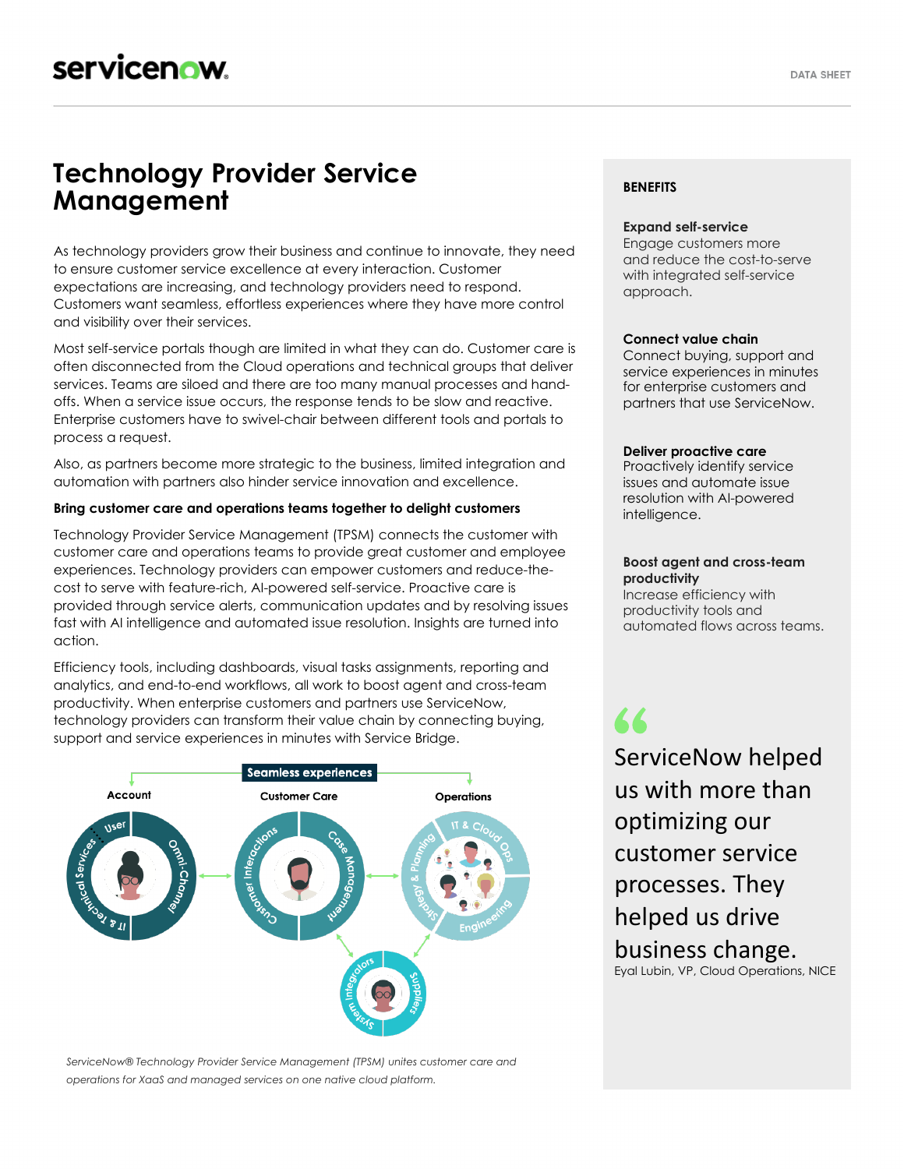# **Technology Provider Service Management**

As technology providers grow their business and continue to innovate, they need to ensure customer service excellence at every interaction. Customer expectations are increasing, and technology providers need to respond. Customers want seamless, effortless experiences where they have more control and visibility over their services.

Most self-service portals though are limited in what they can do. Customer care is often disconnected from the Cloud operations and technical groups that deliver services. Teams are siloed and there are too many manual processes and handoffs. When a service issue occurs, the response tends to be slow and reactive. Enterprise customers have to swivel-chair between different tools and portals to process a request.

Also, as partners become more strategic to the business, limited integration and automation with partners also hinder service innovation and excellence.

# **Bring customer care and operations teams together to delight customers**

Technology Provider Service Management (TPSM) connects the customer with customer care and operations teams to provide great customer and employee experiences. Technology providers can empower customers and reduce-thecost to serve with feature-rich, AI-powered self-service. Proactive care is provided through service alerts, communication updates and by resolving issues fast with AI intelligence and automated issue resolution. Insights are turned into action.

Efficiency tools, including dashboards, visual tasks assignments, reporting and analytics, and end-to-end workflows, all work to boost agent and cross-team productivity. When enterprise customers and partners use ServiceNow, technology providers can transform their value chain by connecting buying, support and service experiences in minutes with Service Bridge.



*ServiceNow® Technology Provider Service Management (TPSM) unites customer care and operations for XaaS and managed services on one native cloud platform.*

# **BENEFITS**

### **Expand self-service**

Engage customers more and reduce the cost-to-serve with integrated self-service approach.

#### **Connect value chain**

Connect buying, support and service experiences in minutes for enterprise customers and partners that use ServiceNow.

#### **Deliver proactive care**

Proactively identify service issues and automate issue resolution with AI-powered intelligence.

## **Boost agent and cross-team productivity**

Increase efficiency with productivity tools and automated flows across teams.

77 ServiceNow helped us with more than optimizing our customer service processes. They helped us drive business change. Eyal Lubin, VP, Cloud Operations, NICE–